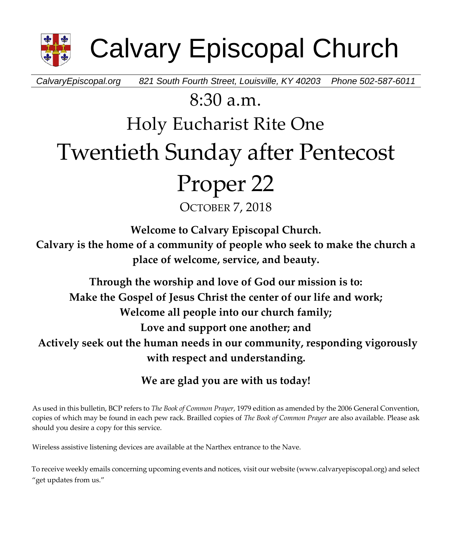

Calvary Episcopal Church

*CalvaryEpiscopal.org 821 South Fourth Street, Louisville, KY 40203 Phone 502-587-6011*

## 8:30 a.m.

## Holy Eucharist Rite One

# Twentieth Sunday after Pentecost

# Proper 22

OCTOBER 7, 2018

**Welcome to Calvary Episcopal Church.**

**Calvary is the home of a community of people who seek to make the church a place of welcome, service, and beauty.**

**Through the worship and love of God our mission is to: Make the Gospel of Jesus Christ the center of our life and work; Welcome all people into our church family; Love and support one another; and Actively seek out the human needs in our community, responding vigorously with respect and understanding.**

**We are glad you are with us today!**

As used in this bulletin, BCP refers to *The Book of Common Prayer*, 1979 edition as amended by the 2006 General Convention, copies of which may be found in each pew rack. Brailled copies of *The Book of Common Prayer* are also available. Please ask should you desire a copy for this service.

Wireless assistive listening devices are available at the Narthex entrance to the Nave.

To receive weekly emails concerning upcoming events and notices, visit our website (www.calvaryepiscopal.org) and select "get updates from us."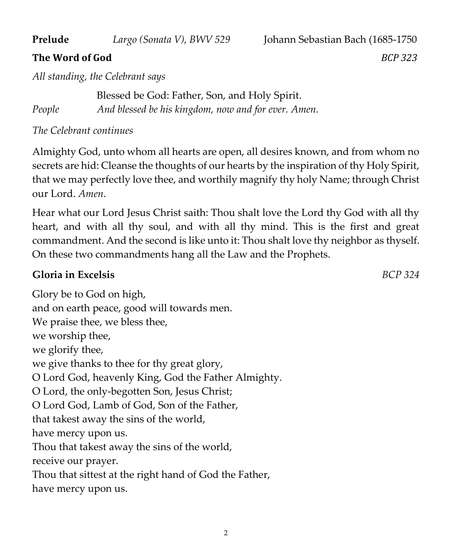#### **Prelude** *Largo (Sonata V), BWV 529* Johann Sebastian Bach (1685-1750

### **The Word of God** *BCP 323*

*All standing, the Celebrant says*

Blessed be God: Father, Son, and Holy Spirit. *People And blessed be his kingdom, now and for ever. Amen.*

*The Celebrant continues*

Almighty God, unto whom all hearts are open, all desires known, and from whom no secrets are hid: Cleanse the thoughts of our hearts by the inspiration of thy Holy Spirit, that we may perfectly love thee, and worthily magnify thy holy Name; through Christ our Lord. *Amen*.

Hear what our Lord Jesus Christ saith: Thou shalt love the Lord thy God with all thy heart, and with all thy soul, and with all thy mind. This is the first and great commandment. And the second is like unto it: Thou shalt love thy neighbor as thyself. On these two commandments hang all the Law and the Prophets.

### **Gloria in Excelsis** *BCP 324*

Glory be to God on high, and on earth peace, good will towards men. We praise thee, we bless thee, we worship thee, we glorify thee, we give thanks to thee for thy great glory, O Lord God, heavenly King, God the Father Almighty. O Lord, the only-begotten Son, Jesus Christ; O Lord God, Lamb of God, Son of the Father, that takest away the sins of the world, have mercy upon us. Thou that takest away the sins of the world, receive our prayer. Thou that sittest at the right hand of God the Father, have mercy upon us.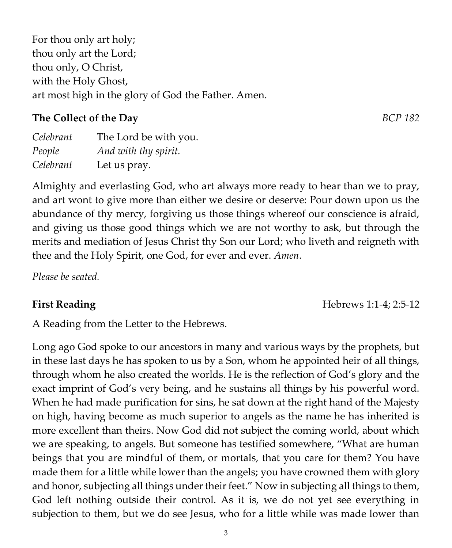For thou only art holy; thou only art the Lord; thou only, O Christ, with the Holy Ghost, art most high in the glory of God the Father. Amen.

### **The Collect of the Day** *BCP 182*

| Celebrant | The Lord be with you. |
|-----------|-----------------------|
| People    | And with thy spirit.  |
| Celebrant | Let us pray.          |

Almighty and everlasting God, who art always more ready to hear than we to pray, and art wont to give more than either we desire or deserve: Pour down upon us the abundance of thy mercy, forgiving us those things whereof our conscience is afraid, and giving us those good things which we are not worthy to ask, but through the merits and mediation of Jesus Christ thy Son our Lord; who liveth and reigneth with thee and the Holy Spirit, one God, for ever and ever. *Amen*.

*Please be seated.*

A Reading from the Letter to the Hebrews.

Long ago God spoke to our ancestors in many and various ways by the prophets, but in these last days he has spoken to us by a Son, whom he appointed heir of all things, through whom he also created the worlds. He is the reflection of God's glory and the exact imprint of God's very being, and he sustains all things by his powerful word. When he had made purification for sins, he sat down at the right hand of the Majesty on high, having become as much superior to angels as the name he has inherited is more excellent than theirs. Now God did not subject the coming world, about which we are speaking, to angels. But someone has testified somewhere, "What are human beings that you are mindful of them, or mortals, that you care for them? You have made them for a little while lower than the angels; you have crowned them with glory and honor, subjecting all things under their feet." Now in subjecting all things to them, God left nothing outside their control. As it is, we do not yet see everything in subjection to them, but we do see Jesus, who for a little while was made lower than

3

**First Reading** Hebrews 1:1-4; 2:5-12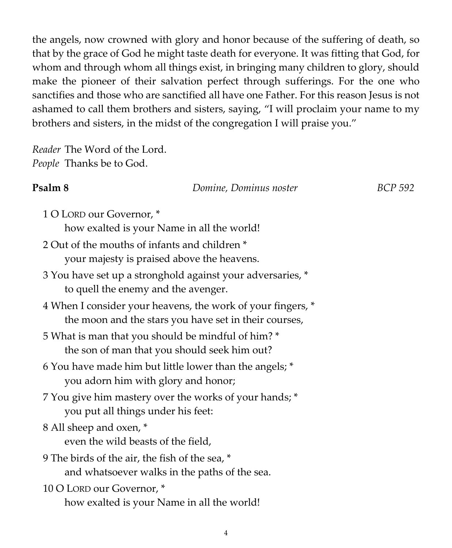the angels, now crowned with glory and honor because of the suffering of death, so that by the grace of God he might taste death for everyone. It was fitting that God, for whom and through whom all things exist, in bringing many children to glory, should make the pioneer of their salvation perfect through sufferings. For the one who sanctifies and those who are sanctified all have one Father. For this reason Jesus is not ashamed to call them brothers and sisters, saying, "I will proclaim your name to my brothers and sisters, in the midst of the congregation I will praise you."

*Reader* The Word of the Lord. *People* Thanks be to God.

#### **Psalm 8** *Domine, Dominus noster BCP 592*

- 1 O LORD our Governor, \* how exalted is your Name in all the world!
- 2 Out of the mouths of infants and children \* your majesty is praised above the heavens.
- 3 You have set up a stronghold against your adversaries, \* to quell the enemy and the avenger.
- 4 When I consider your heavens, the work of your fingers, \* the moon and the stars you have set in their courses,
- 5 What is man that you should be mindful of him? \* the son of man that you should seek him out?
- 6 You have made him but little lower than the angels; \* you adorn him with glory and honor;
- 7 You give him mastery over the works of your hands; \* you put all things under his feet:
- 8 All sheep and oxen, \*

even the wild beasts of the field,

- 9 The birds of the air, the fish of the sea, \* and whatsoever walks in the paths of the sea.
- 10 O LORD our Governor, \* how exalted is your Name in all the world!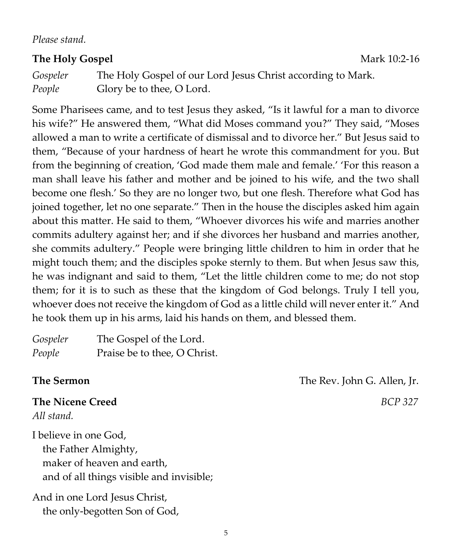*Please stand.*

#### **The Holy Gospel** Mark 10:2-16

*Gospeler* The Holy Gospel of our Lord Jesus Christ according to Mark. *People* Glory be to thee, O Lord.

Some Pharisees came, and to test Jesus they asked, "Is it lawful for a man to divorce his wife?" He answered them, "What did Moses command you?" They said, "Moses allowed a man to write a certificate of dismissal and to divorce her." But Jesus said to them, "Because of your hardness of heart he wrote this commandment for you. But from the beginning of creation, 'God made them male and female.' 'For this reason a man shall leave his father and mother and be joined to his wife, and the two shall become one flesh.' So they are no longer two, but one flesh. Therefore what God has joined together, let no one separate." Then in the house the disciples asked him again about this matter. He said to them, "Whoever divorces his wife and marries another commits adultery against her; and if she divorces her husband and marries another, she commits adultery." People were bringing little children to him in order that he might touch them; and the disciples spoke sternly to them. But when Jesus saw this, he was indignant and said to them, "Let the little children come to me; do not stop them; for it is to such as these that the kingdom of God belongs. Truly I tell you, whoever does not receive the kingdom of God as a little child will never enter it." And he took them up in his arms, laid his hands on them, and blessed them.

| Gospeler | The Gospel of the Lord.      |
|----------|------------------------------|
| People   | Praise be to thee, O Christ. |

**The Nicene Creed** *BCP 327 All stand.*

I believe in one God, the Father Almighty, maker of heaven and earth, and of all things visible and invisible;

And in one Lord Jesus Christ, the only-begotten Son of God,

**The Sermon** The Rev. John G. Allen, Jr.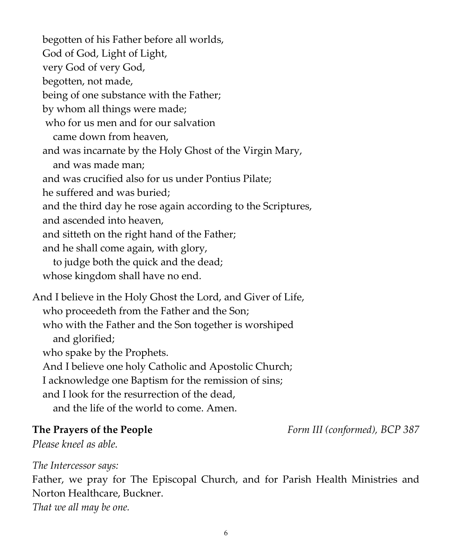begotten of his Father before all worlds, God of God, Light of Light, very God of very God, begotten, not made, being of one substance with the Father; by whom all things were made; who for us men and for our salvation came down from heaven, and was incarnate by the Holy Ghost of the Virgin Mary, and was made man; and was crucified also for us under Pontius Pilate; he suffered and was buried; and the third day he rose again according to the Scriptures, and ascended into heaven, and sitteth on the right hand of the Father; and he shall come again, with glory, to judge both the quick and the dead; whose kingdom shall have no end. And I believe in the Holy Ghost the Lord, and Giver of Life, who proceedeth from the Father and the Son; who with the Father and the Son together is worshiped and glorified; who spake by the Prophets. And I believe one holy Catholic and Apostolic Church; I acknowledge one Baptism for the remission of sins; and I look for the resurrection of the dead,

and the life of the world to come. Amen.

**The Prayers of the People** *Form III (conformed), BCP 387*

*Please kneel as able.*

*The Intercessor says:*

Father, we pray for The Episcopal Church, and for Parish Health Ministries and Norton Healthcare, Buckner.

*That we all may be one.*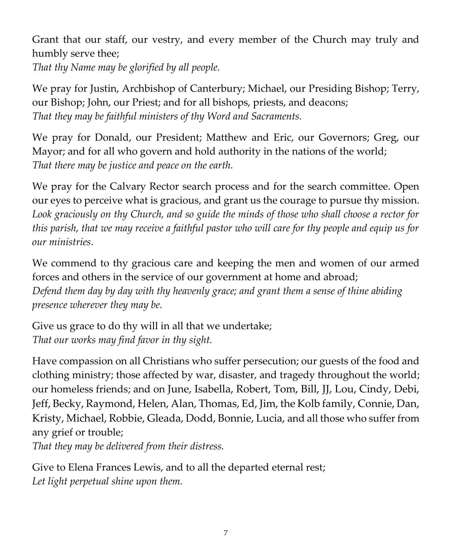Grant that our staff, our vestry, and every member of the Church may truly and humbly serve thee;

*That thy Name may be glorified by all people.*

We pray for Justin, Archbishop of Canterbury; Michael, our Presiding Bishop; Terry, our Bishop; John, our Priest; and for all bishops, priests, and deacons; *That they may be faithful ministers of thy Word and Sacraments.*

We pray for Donald, our President; Matthew and Eric, our Governors; Greg, our Mayor; and for all who govern and hold authority in the nations of the world; *That there may be justice and peace on the earth.*

We pray for the Calvary Rector search process and for the search committee. Open our eyes to perceive what is gracious, and grant us the courage to pursue thy mission. *Look graciously on thy Church, and so guide the minds of those who shall choose a rector for this parish, that we may receive a faithful pastor who will care for thy people and equip us for our ministries*.

We commend to thy gracious care and keeping the men and women of our armed forces and others in the service of our government at home and abroad; *Defend them day by day with thy heavenly grace; and grant them a sense of thine abiding presence wherever they may be.*

Give us grace to do thy will in all that we undertake; *That our works may find favor in thy sight.*

Have compassion on all Christians who suffer persecution; our guests of the food and clothing ministry; those affected by war, disaster, and tragedy throughout the world; our homeless friends; and on June, Isabella, Robert, Tom, Bill, JJ, Lou, Cindy, Debi, Jeff, Becky, Raymond, Helen, Alan, Thomas, Ed, Jim, the Kolb family, Connie, Dan, Kristy, Michael, Robbie, Gleada, Dodd, Bonnie, Lucia, and all those who suffer from any grief or trouble;

*That they may be delivered from their distress.*

Give to Elena Frances Lewis, and to all the departed eternal rest; *Let light perpetual shine upon them.*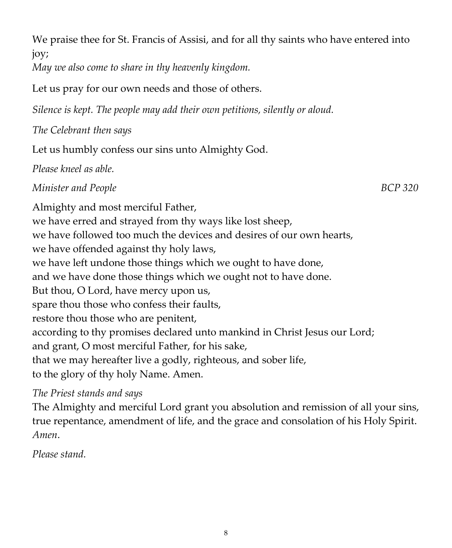joy; *May we also come to share in thy heavenly kingdom.* Let us pray for our own needs and those of others. *Silence is kept. The people may add their own petitions, silently or aloud. The Celebrant then says*  Let us humbly confess our sins unto Almighty God. *Please kneel as able. Minister and People* BCP 320 Almighty and most merciful Father, we have erred and strayed from thy ways like lost sheep, we have followed too much the devices and desires of our own hearts, we have offended against thy holy laws, we have left undone those things which we ought to have done, and we have done those things which we ought not to have done. But thou, O Lord, have mercy upon us, spare thou those who confess their faults, restore thou those who are penitent, according to thy promises declared unto mankind in Christ Jesus our Lord; and grant, O most merciful Father, for his sake, that we may hereafter live a godly, righteous, and sober life, to the glory of thy holy Name. Amen. *The Priest stands and says* 

We praise thee for St. Francis of Assisi, and for all thy saints who have entered into

The Almighty and merciful Lord grant you absolution and remission of all your sins, true repentance, amendment of life, and the grace and consolation of his Holy Spirit. *Amen*.

*Please stand.*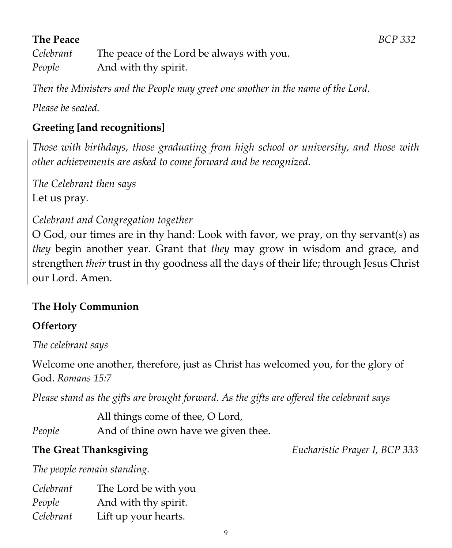### **The Peace** *BCP 332*

*Celebrant* The peace of the Lord be always with you. *People* And with thy spirit.

*Then the Ministers and the People may greet one another in the name of the Lord.*

*Please be seated.*

### **Greeting [and recognitions]**

*Those with birthdays, those graduating from high school or university, and those with other achievements are asked to come forward and be recognized.*

*The Celebrant then says* Let us pray*.*

#### *Celebrant and Congregation together*

O God, our times are in thy hand: Look with favor, we pray, on thy servant(*s*) as *they* begin another year. Grant that *they* may grow in wisdom and grace, and strengthen *their* trust in thy goodness all the days of their life; through Jesus Christ our Lord. Amen.

#### **The Holy Communion**

#### **Offertory**

*The celebrant says*

Welcome one another, therefore, just as Christ has welcomed you, for the glory of God. *Romans 15:7*

*Please stand as the gifts are brought forward. As the gifts are offered the celebrant says*

All things come of thee, O Lord,

*People* And of thine own have we given thee.

**The Great Thanksgiving** *Eucharistic Prayer I, BCP 333*

*The people remain standing.*

| Celebrant | The Lord be with you |
|-----------|----------------------|
| People    | And with thy spirit. |
| Celebrant | Lift up your hearts. |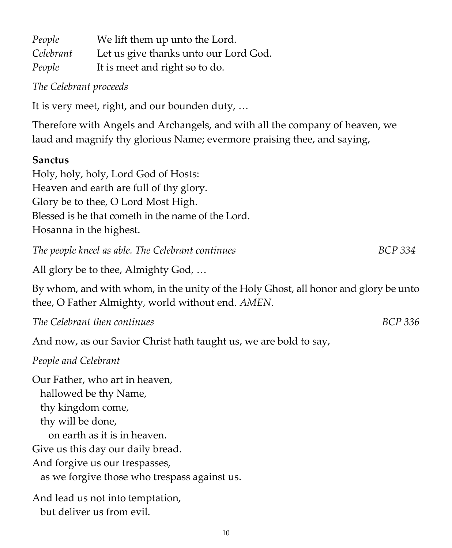| People    | We lift them up unto the Lord.        |
|-----------|---------------------------------------|
| Celebrant | Let us give thanks unto our Lord God. |
| People    | It is meet and right so to do.        |

*The Celebrant proceeds*

It is very meet, right, and our bounden duty, …

Therefore with Angels and Archangels, and with all the company of heaven, we laud and magnify thy glorious Name; evermore praising thee, and saying,

#### **Sanctus**

Holy, holy, holy, Lord God of Hosts: Heaven and earth are full of thy glory. Glory be to thee, O Lord Most High. Blessed is he that cometh in the name of the Lord. Hosanna in the highest.

*The people kneel as able. The Celebrant continues* **BCP** 334

All glory be to thee, Almighty God, …

By whom, and with whom, in the unity of the Holy Ghost, all honor and glory be unto thee, O Father Almighty, world without end. *AMEN*.

*The Celebrant then continues BCP 336*

And now, as our Savior Christ hath taught us, we are bold to say,

*People and Celebrant*

Our Father, who art in heaven, hallowed be thy Name, thy kingdom come, thy will be done, on earth as it is in heaven. Give us this day our daily bread. And forgive us our trespasses, as we forgive those who trespass against us.

And lead us not into temptation, but deliver us from evil.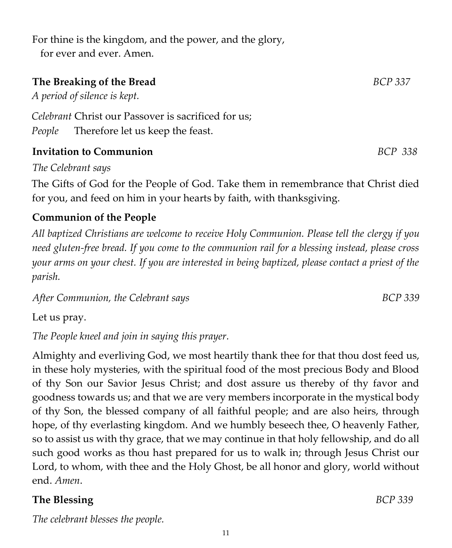For thine is the kingdom, and the power, and the glory, for ever and ever. Amen.

#### **The Breaking of the Bread** *BCP 337*

*A period of silence is kept.* 

*Celebrant* Christ our Passover is sacrificed for us; *People* Therefore let us keep the feast.

#### **Invitation to Communion** *BCP 338*

*The Celebrant says*

The Gifts of God for the People of God. Take them in remembrance that Christ died for you, and feed on him in your hearts by faith, with thanksgiving.

#### **Communion of the People**

*All baptized Christians are welcome to receive Holy Communion. Please tell the clergy if you need gluten-free bread. If you come to the communion rail for a blessing instead, please cross your arms on your chest. If you are interested in being baptized, please contact a priest of the parish.* 

*After Communion, the Celebrant says BCP 339*

Let us pray.

*The People kneel and join in saying this prayer.*

Almighty and everliving God, we most heartily thank thee for that thou dost feed us, in these holy mysteries, with the spiritual food of the most precious Body and Blood of thy Son our Savior Jesus Christ; and dost assure us thereby of thy favor and goodness towards us; and that we are very members incorporate in the mystical body of thy Son, the blessed company of all faithful people; and are also heirs, through hope, of thy everlasting kingdom. And we humbly beseech thee, O heavenly Father, so to assist us with thy grace, that we may continue in that holy fellowship, and do all such good works as thou hast prepared for us to walk in; through Jesus Christ our Lord, to whom, with thee and the Holy Ghost, be all honor and glory, world without end. *Amen*.

11

#### **The Blessing** *BCP 339*